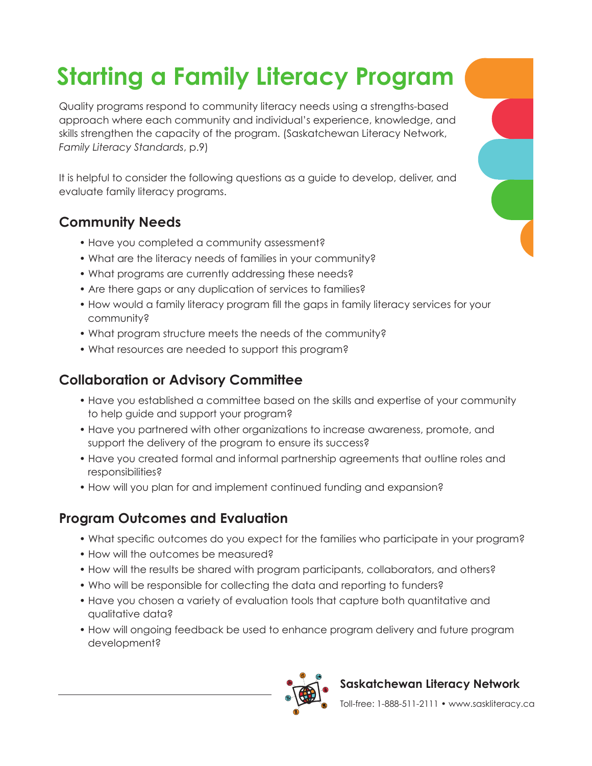# **Starting a Family Literacy Program**

Quality programs respond to community literacy needs using a strengths-based approach where each community and individual's experience, knowledge, and skills strengthen the capacity of the program. (Saskatchewan Literacy Network, *Family Literacy Standards*, p.9)

It is helpful to consider the following questions as a guide to develop, deliver, and evaluate family literacy programs.

## **Community Needs**

- Have you completed a community assessment?
- What are the literacy needs of families in your community?
- What programs are currently addressing these needs?
- Are there gaps or any duplication of services to families?
- How would a family literacy program fill the gaps in family literacy services for your community?
- What program structure meets the needs of the community?
- What resources are needed to support this program?

#### **Collaboration or Advisory Committee**

- Have you established a committee based on the skills and expertise of your community to help guide and support your program?
- Have you partnered with other organizations to increase awareness, promote, and support the delivery of the program to ensure its success?
- Have you created formal and informal partnership agreements that outline roles and responsibilities?
- How will you plan for and implement continued funding and expansion?

#### **Program Outcomes and Evaluation**

- What specific outcomes do you expect for the families who participate in your program?
- How will the outcomes be measured?
- How will the results be shared with program participants, collaborators, and others?
- Who will be responsible for collecting the data and reporting to funders?
- Have you chosen a variety of evaluation tools that capture both quantitative and qualitative data?
- How will ongoing feedback be used to enhance program delivery and future program development?



#### **Saskatchewan Literacy Network**

Toll-free: 1-888-511-2111 • www.saskliteracy.ca